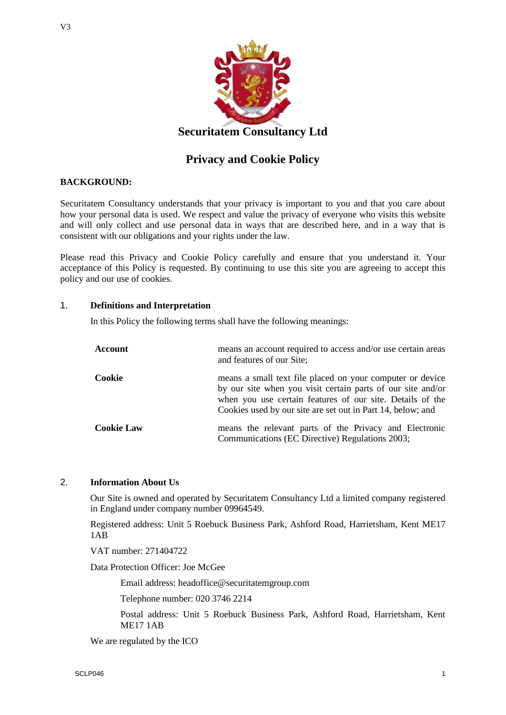

# **Privacy and Cookie Policy**

## **BACKGROUND:**

Securitatem Consultancy understands that your privacy is important to you and that you care about how your personal data is used. We respect and value the privacy of everyone who visits this website and will only collect and use personal data in ways that are described here, and in a way that is consistent with our obligations and your rights under the law.

Please read this Privacy and Cookie Policy carefully and ensure that you understand it. Your acceptance of this Policy is requested. By continuing to use this site you are agreeing to accept this policy and our use of cookies.

## 1. **Definitions and Interpretation**

In this Policy the following terms shall have the following meanings:

| Account           | means an account required to access and/or use certain areas<br>and features of our Site;                                                                                                                                                            |
|-------------------|------------------------------------------------------------------------------------------------------------------------------------------------------------------------------------------------------------------------------------------------------|
| Cookie            | means a small text file placed on your computer or device<br>by our site when you visit certain parts of our site and/or<br>when you use certain features of our site. Details of the<br>Cookies used by our site are set out in Part 14, below; and |
| <b>Cookie Law</b> | means the relevant parts of the Privacy and Electronic<br>Communications (EC Directive) Regulations 2003;                                                                                                                                            |

# 2. **Information About Us**

Our Site is owned and operated by Securitatem Consultancy Ltd a limited company registered in England under company number 09964549.

Registered address: Unit 5 Roebuck Business Park, Ashford Road, Harrietsham, Kent ME17  $1AB$ 

VAT number: 271404722

Data Protection Officer: Joe McGee

Email address: headoffice@securitatemgroup.com

Telephone number: 020 3746 2214

Postal address: Unit 5 Roebuck Business Park, Ashford Road, Harrietsham, Kent ME17 1AB

We are regulated by the ICO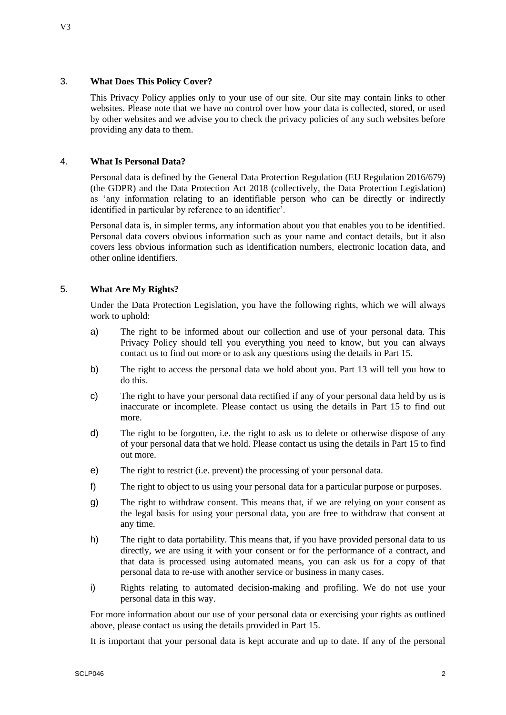## 3. **What Does This Policy Cover?**

This Privacy Policy applies only to your use of our site. Our site may contain links to other websites. Please note that we have no control over how your data is collected, stored, or used by other websites and we advise you to check the privacy policies of any such websites before providing any data to them.

## 4. **What Is Personal Data?**

Personal data is defined by the General Data Protection Regulation (EU Regulation 2016/679) (the GDPR) and the Data Protection Act 2018 (collectively, the Data Protection Legislation) as 'any information relating to an identifiable person who can be directly or indirectly identified in particular by reference to an identifier'.

Personal data is, in simpler terms, any information about you that enables you to be identified. Personal data covers obvious information such as your name and contact details, but it also covers less obvious information such as identification numbers, electronic location data, and other online identifiers.

## 5. **What Are My Rights?**

Under the Data Protection Legislation, you have the following rights, which we will always work to uphold:

- a) The right to be informed about our collection and use of your personal data. This Privacy Policy should tell you everything you need to know, but you can always contact us to find out more or to ask any questions using the details in Part 15.
- b) The right to access the personal data we hold about you. Part 13 will tell you how to do this.
- c) The right to have your personal data rectified if any of your personal data held by us is inaccurate or incomplete. Please contact us using the details in Part 15 to find out more.
- d) The right to be forgotten, i.e. the right to ask us to delete or otherwise dispose of any of your personal data that we hold. Please contact us using the details in Part 15 to find out more.
- e) The right to restrict (i.e. prevent) the processing of your personal data.
- f) The right to object to us using your personal data for a particular purpose or purposes.
- g) The right to withdraw consent. This means that, if we are relying on your consent as the legal basis for using your personal data, you are free to withdraw that consent at any time.
- h) The right to data portability. This means that, if you have provided personal data to us directly, we are using it with your consent or for the performance of a contract, and that data is processed using automated means, you can ask us for a copy of that personal data to re-use with another service or business in many cases.
- i) Rights relating to automated decision-making and profiling. We do not use your personal data in this way.

For more information about our use of your personal data or exercising your rights as outlined above, please contact us using the details provided in Part 15.

It is important that your personal data is kept accurate and up to date. If any of the personal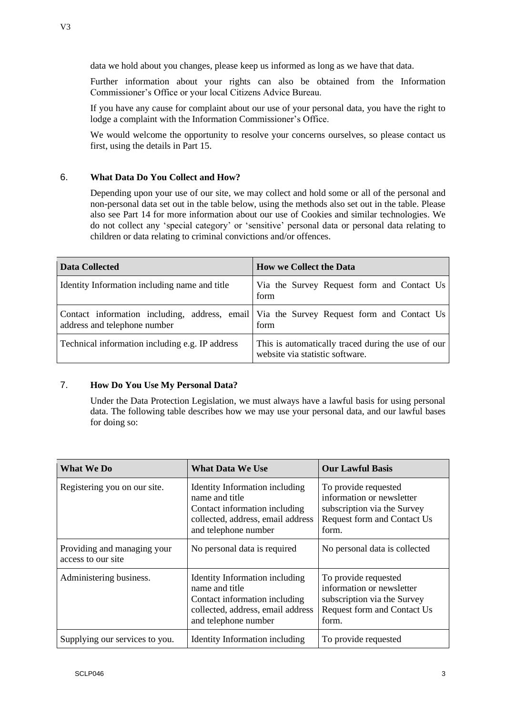Further information about your rights can also be obtained from the Information Commissioner's Office or your local Citizens Advice Bureau.

If you have any cause for complaint about our use of your personal data, you have the right to lodge a complaint with the Information Commissioner's Office.

We would welcome the opportunity to resolve your concerns ourselves, so please contact us first, using the details in Part 15.

#### 6. **What Data Do You Collect and How?**

Depending upon your use of our site, we may collect and hold some or all of the personal and non-personal data set out in the table below, using the methods also set out in the table. Please also see Part 14 for more information about our use of Cookies and similar technologies. We do not collect any 'special category' or 'sensitive' personal data or personal data relating to children or data relating to criminal convictions and/or offences.

| <b>Data Collected</b>                           | <b>How we Collect the Data</b>                                                                   |
|-------------------------------------------------|--------------------------------------------------------------------------------------------------|
| Identity Information including name and title   | Via the Survey Request form and Contact Us<br>form                                               |
| address and telephone number                    | Contact information including, address, email Via the Survey Request form and Contact Us<br>form |
| Technical information including e.g. IP address | This is automatically traced during the use of our<br>website via statistic software.            |

### 7. **How Do You Use My Personal Data?**

Under the Data Protection Legislation, we must always have a lawful basis for using personal data. The following table describes how we may use your personal data, and our lawful bases for doing so:

| <b>What We Do</b>                                 | <b>What Data We Use</b>                                                                                                                        | <b>Our Lawful Basis</b>                                                                                                  |
|---------------------------------------------------|------------------------------------------------------------------------------------------------------------------------------------------------|--------------------------------------------------------------------------------------------------------------------------|
| Registering you on our site.                      | Identity Information including<br>name and title<br>Contact information including<br>collected, address, email address<br>and telephone number | To provide requested<br>information or newsletter<br>subscription via the Survey<br>Request form and Contact Us<br>form. |
| Providing and managing your<br>access to our site | No personal data is required                                                                                                                   | No personal data is collected                                                                                            |
| Administering business.                           | Identity Information including<br>name and title<br>Contact information including<br>collected, address, email address<br>and telephone number | To provide requested<br>information or newsletter<br>subscription via the Survey<br>Request form and Contact Us<br>form. |
| Supplying our services to you.                    | Identity Information including                                                                                                                 | To provide requested                                                                                                     |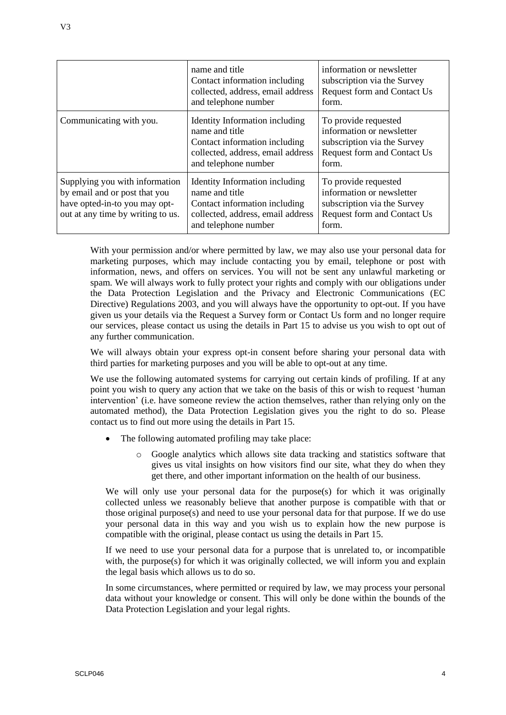|                                                                                                                                       | name and title<br>Contact information including<br>collected, address, email address<br>and telephone number                                   | information or newsletter<br>subscription via the Survey<br>Request form and Contact Us<br>form.                                |
|---------------------------------------------------------------------------------------------------------------------------------------|------------------------------------------------------------------------------------------------------------------------------------------------|---------------------------------------------------------------------------------------------------------------------------------|
| Communicating with you.                                                                                                               | Identity Information including<br>name and title<br>Contact information including<br>collected, address, email address<br>and telephone number | To provide requested<br>information or newsletter<br>subscription via the Survey<br><b>Request form and Contact Us</b><br>form. |
| Supplying you with information<br>by email and or post that you<br>have opted-in-to you may opt-<br>out at any time by writing to us. | Identity Information including<br>name and title<br>Contact information including<br>collected, address, email address<br>and telephone number | To provide requested<br>information or newsletter<br>subscription via the Survey<br>Request form and Contact Us<br>form.        |

With your permission and/or where permitted by law, we may also use your personal data for marketing purposes, which may include contacting you by email, telephone or post with information, news, and offers on services. You will not be sent any unlawful marketing or spam. We will always work to fully protect your rights and comply with our obligations under the Data Protection Legislation and the Privacy and Electronic Communications (EC Directive) Regulations 2003, and you will always have the opportunity to opt-out. If you have given us your details via the Request a Survey form or Contact Us form and no longer require our services, please contact us using the details in Part 15 to advise us you wish to opt out of any further communication.

We will always obtain your express opt-in consent before sharing your personal data with third parties for marketing purposes and you will be able to opt-out at any time.

We use the following automated systems for carrying out certain kinds of profiling. If at any point you wish to query any action that we take on the basis of this or wish to request 'human intervention' (i.e. have someone review the action themselves, rather than relying only on the automated method), the Data Protection Legislation gives you the right to do so. Please contact us to find out more using the details in Part 15.

- The following automated profiling may take place:
	- o Google analytics which allows site data tracking and statistics software that gives us vital insights on how visitors find our site, what they do when they get there, and other important information on the health of our business.

We will only use your personal data for the purpose(s) for which it was originally collected unless we reasonably believe that another purpose is compatible with that or those original purpose(s) and need to use your personal data for that purpose. If we do use your personal data in this way and you wish us to explain how the new purpose is compatible with the original, please contact us using the details in Part 15.

If we need to use your personal data for a purpose that is unrelated to, or incompatible with, the purpose(s) for which it was originally collected, we will inform you and explain the legal basis which allows us to do so.

In some circumstances, where permitted or required by law, we may process your personal data without your knowledge or consent. This will only be done within the bounds of the Data Protection Legislation and your legal rights.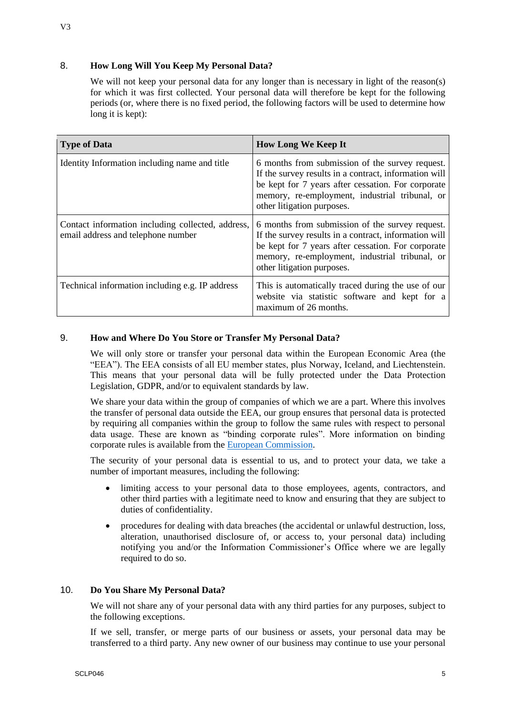## 8. **How Long Will You Keep My Personal Data?**

We will not keep your personal data for any longer than is necessary in light of the reason(s) for which it was first collected. Your personal data will therefore be kept for the following periods (or, where there is no fixed period, the following factors will be used to determine how long it is kept):

| <b>Type of Data</b>                                                                     | <b>How Long We Keep It</b>                                                                                                                                                                                                                     |
|-----------------------------------------------------------------------------------------|------------------------------------------------------------------------------------------------------------------------------------------------------------------------------------------------------------------------------------------------|
| Identity Information including name and title                                           | 6 months from submission of the survey request.<br>If the survey results in a contract, information will<br>be kept for 7 years after cessation. For corporate<br>memory, re-employment, industrial tribunal, or<br>other litigation purposes. |
| Contact information including collected, address,<br>email address and telephone number | 6 months from submission of the survey request.<br>If the survey results in a contract, information will<br>be kept for 7 years after cessation. For corporate<br>memory, re-employment, industrial tribunal, or<br>other litigation purposes. |
| Technical information including e.g. IP address                                         | This is automatically traced during the use of our<br>website via statistic software and kept for a<br>maximum of 26 months.                                                                                                                   |

### 9. **How and Where Do You Store or Transfer My Personal Data?**

We will only store or transfer your personal data within the European Economic Area (the "EEA"). The EEA consists of all EU member states, plus Norway, Iceland, and Liechtenstein. This means that your personal data will be fully protected under the Data Protection Legislation, GDPR, and/or to equivalent standards by law.

We share your data within the group of companies of which we are a part. Where this involves the transfer of personal data outside the EEA, our group ensures that personal data is protected by requiring all companies within the group to follow the same rules with respect to personal data usage. These are known as "binding corporate rules". More information on binding corporate rules is available from the [European Commission.](https://ec.europa.eu/info/law/law-topic/data-protection/data-transfers-outside-eu/binding-corporate-rules_en)

The security of your personal data is essential to us, and to protect your data, we take a number of important measures, including the following:

- limiting access to your personal data to those employees, agents, contractors, and other third parties with a legitimate need to know and ensuring that they are subject to duties of confidentiality.
- procedures for dealing with data breaches (the accidental or unlawful destruction, loss, alteration, unauthorised disclosure of, or access to, your personal data) including notifying you and/or the Information Commissioner's Office where we are legally required to do so.

## 10. **Do You Share My Personal Data?**

We will not share any of your personal data with any third parties for any purposes, subject to the following exceptions.

If we sell, transfer, or merge parts of our business or assets, your personal data may be transferred to a third party. Any new owner of our business may continue to use your personal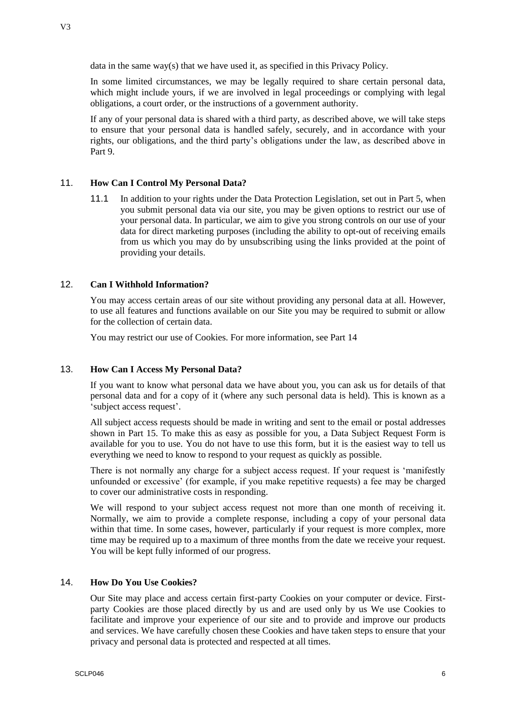data in the same way(s) that we have used it, as specified in this Privacy Policy.

In some limited circumstances, we may be legally required to share certain personal data, which might include yours, if we are involved in legal proceedings or complying with legal obligations, a court order, or the instructions of a government authority.

If any of your personal data is shared with a third party, as described above, we will take steps to ensure that your personal data is handled safely, securely, and in accordance with your rights, our obligations, and the third party's obligations under the law, as described above in Part 9.

# 11. **How Can I Control My Personal Data?**

11.1 In addition to your rights under the Data Protection Legislation, set out in Part 5, when you submit personal data via our site, you may be given options to restrict our use of your personal data. In particular, we aim to give you strong controls on our use of your data for direct marketing purposes (including the ability to opt-out of receiving emails from us which you may do by unsubscribing using the links provided at the point of providing your details.

# 12. **Can I Withhold Information?**

You may access certain areas of our site without providing any personal data at all. However, to use all features and functions available on our Site you may be required to submit or allow for the collection of certain data.

You may restrict our use of Cookies. For more information, see Part 14

## 13. **How Can I Access My Personal Data?**

If you want to know what personal data we have about you, you can ask us for details of that personal data and for a copy of it (where any such personal data is held). This is known as a 'subject access request'.

All subject access requests should be made in writing and sent to the email or postal addresses shown in Part 15. To make this as easy as possible for you, a Data Subject Request Form is available for you to use. You do not have to use this form, but it is the easiest way to tell us everything we need to know to respond to your request as quickly as possible.

There is not normally any charge for a subject access request. If your request is 'manifestly unfounded or excessive' (for example, if you make repetitive requests) a fee may be charged to cover our administrative costs in responding.

We will respond to your subject access request not more than one month of receiving it. Normally, we aim to provide a complete response, including a copy of your personal data within that time. In some cases, however, particularly if your request is more complex, more time may be required up to a maximum of three months from the date we receive your request. You will be kept fully informed of our progress.

## 14. **How Do You Use Cookies?**

Our Site may place and access certain first-party Cookies on your computer or device. Firstparty Cookies are those placed directly by us and are used only by us We use Cookies to facilitate and improve your experience of our site and to provide and improve our products and services. We have carefully chosen these Cookies and have taken steps to ensure that your privacy and personal data is protected and respected at all times.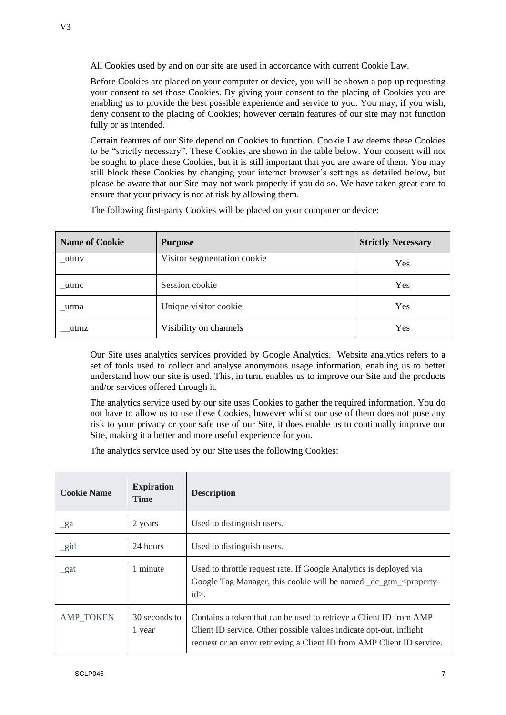All Cookies used by and on our site are used in accordance with current Cookie Law.

Before Cookies are placed on your computer or device, you will be shown a pop-up requesting your consent to set those Cookies. By giving your consent to the placing of Cookies you are enabling us to provide the best possible experience and service to you. You may, if you wish, deny consent to the placing of Cookies; however certain features of our site may not function fully or as intended.

Certain features of our Site depend on Cookies to function. Cookie Law deems these Cookies to be "strictly necessary". These Cookies are shown in the table below. Your consent will not be sought to place these Cookies, but it is still important that you are aware of them. You may still block these Cookies by changing your internet browser's settings as detailed below, but please be aware that our Site may not work properly if you do so. We have taken great care to ensure that your privacy is not at risk by allowing them.

The following first-party Cookies will be placed on your computer or device:

| <b>Name of Cookie</b> | <b>Purpose</b>              | <b>Strictly Necessary</b> |
|-----------------------|-----------------------------|---------------------------|
| utmv                  | Visitor segmentation cookie | Yes                       |
| utmc                  | Session cookie              | Yes                       |
| utma                  | Unique visitor cookie       | Yes                       |
| utmz                  | Visibility on channels      | Yes                       |

Our Site uses analytics services provided by Google Analytics. Website analytics refers to a set of tools used to collect and analyse anonymous usage information, enabling us to better understand how our site is used. This, in turn, enables us to improve our Site and the products and/or services offered through it.

The analytics service used by our site uses Cookies to gather the required information. You do not have to allow us to use these Cookies, however whilst our use of them does not pose any risk to your privacy or your safe use of our Site, it does enable us to continually improve our Site, making it a better and more useful experience for you.

The analytics service used by our Site uses the following Cookies:

| <b>Cookie Name</b> | <b>Expiration</b><br><b>Time</b> | <b>Description</b>                                                                                                                                                                                                  |
|--------------------|----------------------------------|---------------------------------------------------------------------------------------------------------------------------------------------------------------------------------------------------------------------|
| $\mathbf{g}$ a     | 2 years                          | Used to distinguish users.                                                                                                                                                                                          |
| $\_gid$            | 24 hours                         | Used to distinguish users.                                                                                                                                                                                          |
| gat                | 1 minute                         | Used to throttle request rate. If Google Analytics is deployed via<br>Google Tag Manager, this cookie will be named _dc_gtm_ <property-<br><math>id</math>.</property-<br>                                          |
| <b>AMP TOKEN</b>   | 30 seconds to<br>1 year          | Contains a token that can be used to retrieve a Client ID from AMP<br>Client ID service. Other possible values indicate opt-out, inflight<br>request or an error retrieving a Client ID from AMP Client ID service. |